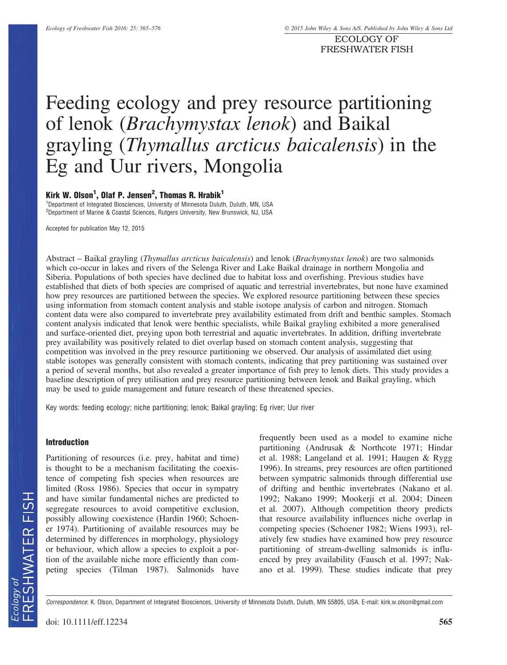ECOLOGY OF FRESHWATER FISH

# Feeding ecology and prey resource partitioning of lenok (Brachymystax lenok) and Baikal grayling (Thymallus arcticus baicalensis) in the Eg and Uur rivers, Mongolia

# Kirk W. Olson<sup>1</sup>, Olaf P. Jensen<sup>2</sup>, Thomas R. Hrabik<sup>1</sup>

<sup>1</sup>Department of Integrated Biosciences, University of Minnesota Duluth, Duluth, MN, USA <sup>2</sup>Department of Marine & Coastal Sciences, Rutgers University, New Brunswick, NJ, USA

Accepted for publication May 12, 2015

Abstract – Baikal grayling (Thymallus arcticus baicalensis) and lenok (Brachymystax lenok) are two salmonids which co-occur in lakes and rivers of the Selenga River and Lake Baikal drainage in northern Mongolia and Siberia. Populations of both species have declined due to habitat loss and overfishing. Previous studies have established that diets of both species are comprised of aquatic and terrestrial invertebrates, but none have examined how prey resources are partitioned between the species. We explored resource partitioning between these species using information from stomach content analysis and stable isotope analysis of carbon and nitrogen. Stomach content data were also compared to invertebrate prey availability estimated from drift and benthic samples. Stomach content analysis indicated that lenok were benthic specialists, while Baikal grayling exhibited a more generalised and surface-oriented diet, preying upon both terrestrial and aquatic invertebrates. In addition, drifting invertebrate prey availability was positively related to diet overlap based on stomach content analysis, suggesting that competition was involved in the prey resource partitioning we observed. Our analysis of assimilated diet using stable isotopes was generally consistent with stomach contents, indicating that prey partitioning was sustained over a period of several months, but also revealed a greater importance of fish prey to lenok diets. This study provides a baseline description of prey utilisation and prey resource partitioning between lenok and Baikal grayling, which may be used to guide management and future research of these threatened species.

Key words: feeding ecology; niche partitioning; lenok; Baikal grayling; Eg river; Uur river

#### Introduction

Partitioning of resources (i.e. prey, habitat and time) is thought to be a mechanism facilitating the coexistence of competing fish species when resources are limited (Ross 1986). Species that occur in sympatry and have similar fundamental niches are predicted to segregate resources to avoid competitive exclusion, possibly allowing coexistence (Hardin 1960; Schoener 1974). Partitioning of available resources may be determined by differences in morphology, physiology or behaviour, which allow a species to exploit a portion of the available niche more efficiently than competing species (Tilman 1987). Salmonids have

frequently been used as a model to examine niche partitioning (Andrusak & Northcote 1971; Hindar et al. 1988; Langeland et al. 1991; Haugen & Rygg 1996). In streams, prey resources are often partitioned between sympatric salmonids through differential use of drifting and benthic invertebrates (Nakano et al. 1992; Nakano 1999; Mookerji et al. 2004; Dineen et al. 2007). Although competition theory predicts that resource availability influences niche overlap in competing species (Schoener 1982; Wiens 1993), relatively few studies have examined how prey resource partitioning of stream-dwelling salmonids is influenced by prey availability (Fausch et al. 1997; Nakano et al. 1999). These studies indicate that prey

Correspondence: K. Olson, Department of Integrated Biosciences, University of Minnesota Duluth, Duluth, MN 55805, USA. E-mail: kirk.w.olson@gmail.com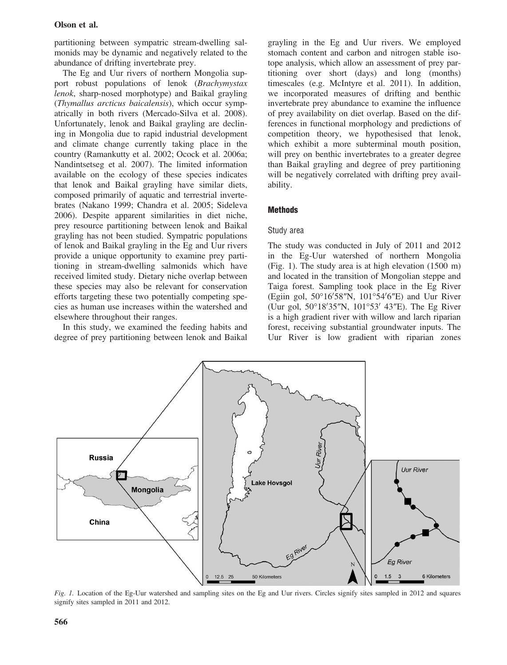# Olson et al.

partitioning between sympatric stream-dwelling salmonids may be dynamic and negatively related to the abundance of drifting invertebrate prey.

The Eg and Uur rivers of northern Mongolia support robust populations of lenok (Brachymystax lenok, sharp-nosed morphotype) and Baikal grayling (Thymallus arcticus baicalensis), which occur sympatrically in both rivers (Mercado-Silva et al. 2008). Unfortunately, lenok and Baikal grayling are declining in Mongolia due to rapid industrial development and climate change currently taking place in the country (Ramankutty et al. 2002; Ocock et al. 2006a; Nandintsetseg et al. 2007). The limited information available on the ecology of these species indicates that lenok and Baikal grayling have similar diets, composed primarily of aquatic and terrestrial invertebrates (Nakano 1999; Chandra et al. 2005; Sideleva 2006). Despite apparent similarities in diet niche, prey resource partitioning between lenok and Baikal grayling has not been studied. Sympatric populations of lenok and Baikal grayling in the Eg and Uur rivers provide a unique opportunity to examine prey partitioning in stream-dwelling salmonids which have received limited study. Dietary niche overlap between these species may also be relevant for conservation efforts targeting these two potentially competing species as human use increases within the watershed and elsewhere throughout their ranges.

In this study, we examined the feeding habits and degree of prey partitioning between lenok and Baikal grayling in the Eg and Uur rivers. We employed stomach content and carbon and nitrogen stable isotope analysis, which allow an assessment of prey partitioning over short (days) and long (months) timescales (e.g. McIntyre et al. 2011). In addition, we incorporated measures of drifting and benthic invertebrate prey abundance to examine the influence of prey availability on diet overlap. Based on the differences in functional morphology and predictions of competition theory, we hypothesised that lenok, which exhibit a more subterminal mouth position, will prey on benthic invertebrates to a greater degree than Baikal grayling and degree of prey partitioning will be negatively correlated with drifting prey availability.

# **Methods**

# Study area

The study was conducted in July of 2011 and 2012 in the Eg-Uur watershed of northern Mongolia (Fig. 1). The study area is at high elevation (1500 m) and located in the transition of Mongolian steppe and Taiga forest. Sampling took place in the Eg River (Egiin gol,  $50^{\circ}16'58''N$ ,  $101^{\circ}54'6''E$ ) and Uur River (Uur gol,  $50^{\circ}18'35''N$ ,  $101^{\circ}53'$  43"E). The Eg River is a high gradient river with willow and larch riparian forest, receiving substantial groundwater inputs. The Uur River is low gradient with riparian zones



Fig. 1. Location of the Eg-Uur watershed and sampling sites on the Eg and Uur rivers. Circles signify sites sampled in 2012 and squares signify sites sampled in 2011 and 2012.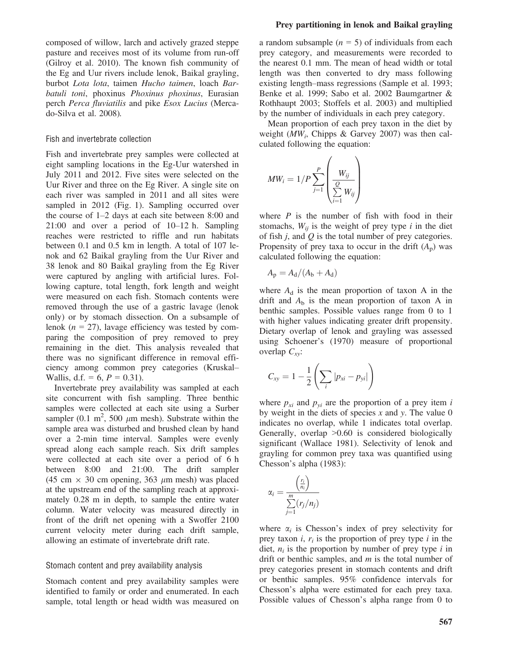composed of willow, larch and actively grazed steppe pasture and receives most of its volume from run-off (Gilroy et al. 2010). The known fish community of the Eg and Uur rivers include lenok, Baikal grayling, burbot Lota lota, taimen Hucho taimen, loach Barbatuli toni, phoxinus Phoxinus phoxinus, Eurasian perch Perca fluviatilis and pike Esox Lucius (Mercado-Silva et al. 2008).

# Fish and invertebrate collection

Fish and invertebrate prey samples were collected at eight sampling locations in the Eg-Uur watershed in July 2011 and 2012. Five sites were selected on the Uur River and three on the Eg River. A single site on each river was sampled in 2011 and all sites were sampled in 2012 (Fig. 1). Sampling occurred over the course of 1–2 days at each site between 8:00 and 21:00 and over a period of 10–12 h. Sampling reaches were restricted to riffle and run habitats between 0.1 and 0.5 km in length. A total of 107 lenok and 62 Baikal grayling from the Uur River and 38 lenok and 80 Baikal grayling from the Eg River were captured by angling with artificial lures. Following capture, total length, fork length and weight were measured on each fish. Stomach contents were removed through the use of a gastric lavage (lenok only) or by stomach dissection. On a subsample of lenok ( $n = 27$ ), lavage efficiency was tested by comparing the composition of prey removed to prey remaining in the diet. This analysis revealed that there was no significant difference in removal efficiency among common prey categories (Kruskal– Wallis, d.f. = 6,  $P = 0.31$ ).

Invertebrate prey availability was sampled at each site concurrent with fish sampling. Three benthic samples were collected at each site using a Surber sampler (0.1 m<sup>2</sup>, 500  $\mu$ m mesh). Substrate within the sample area was disturbed and brushed clean by hand over a 2-min time interval. Samples were evenly spread along each sample reach. Six drift samples were collected at each site over a period of 6 h between 8:00 and 21:00. The drift sampler (45 cm  $\times$  30 cm opening, 363  $\mu$ m mesh) was placed at the upstream end of the sampling reach at approximately 0.28 m in depth, to sample the entire water column. Water velocity was measured directly in front of the drift net opening with a Swoffer 2100 current velocity meter during each drift sample, allowing an estimate of invertebrate drift rate.

## Stomach content and prey availability analysis

Stomach content and prey availability samples were identified to family or order and enumerated. In each sample, total length or head width was measured on

## Prey partitioning in lenok and Baikal grayling

a random subsample  $(n = 5)$  of individuals from each prey category, and measurements were recorded to the nearest 0.1 mm. The mean of head width or total length was then converted to dry mass following existing length–mass regressions (Sample et al. 1993; Benke et al. 1999; Sabo et al. 2002 Baumgartner & Rothhaupt 2003; Stoffels et al. 2003) and multiplied by the number of individuals in each prey category.

Mean proportion of each prey taxon in the diet by weight ( $MW_i$ , Chipps & Garvey 2007) was then calculated following the equation:

$$
MW_i = 1/P \sum_{j=1}^{P} \left( \frac{W_{ij}}{\sum_{i=1}^{Q} W_{ij}} \right)
$$

where  $P$  is the number of fish with food in their stomachs,  $W_{ii}$  is the weight of prey type i in the diet of fish  $j$ , and  $Q$  is the total number of prey categories. Propensity of prey taxa to occur in the drift  $(A_p)$  was calculated following the equation:

$$
A_p = A_d/(A_b + A_d)
$$

where  $A_d$  is the mean proportion of taxon A in the drift and  $A<sub>b</sub>$  is the mean proportion of taxon A in benthic samples. Possible values range from 0 to 1 with higher values indicating greater drift propensity. Dietary overlap of lenok and grayling was assessed using Schoener's (1970) measure of proportional overlap  $C_{xy}$ :

$$
C_{xy} = 1 - \frac{1}{2} \left( \sum_i |p_{xi} - p_{yi}| \right)
$$

where  $p_{xi}$  and  $p_{yi}$  are the proportion of a prey item i by weight in the diets of species  $x$  and  $y$ . The value 0 indicates no overlap, while 1 indicates total overlap. Generally, overlap >0.60 is considered biologically significant (Wallace 1981). Selectivity of lenok and grayling for common prey taxa was quantified using Chesson's alpha (1983):

$$
\alpha_i = \frac{\left(\frac{r_i}{n_i}\right)}{\sum\limits_{j=1}^m (r_j/n_j)}
$$

where  $\alpha_i$  is Chesson's index of prey selectivity for prey taxon  $i, r_i$  is the proportion of prey type  $i$  in the diet,  $n_i$  is the proportion by number of prey type i in drift or benthic samples, and  $m$  is the total number of prey categories present in stomach contents and drift or benthic samples. 95% confidence intervals for Chesson's alpha were estimated for each prey taxa. Possible values of Chesson's alpha range from 0 to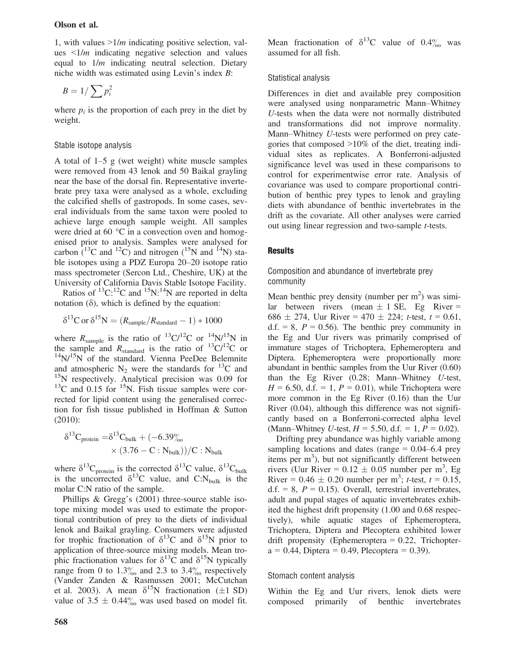1, with values  $>1/m$  indicating positive selection, values  $\leq 1/m$  indicating negative selection and values equal to  $1/m$  indicating neutral selection. Dietary niche width was estimated using Levin's index B:

$$
B=1/\sum p_i^2
$$

where  $p_i$  is the proportion of each prey in the diet by weight.

# Stable isotope analysis

A total of 1–5 g (wet weight) white muscle samples were removed from 43 lenok and 50 Baikal grayling near the base of the dorsal fin. Representative invertebrate prey taxa were analysed as a whole, excluding the calcified shells of gastropods. In some cases, several individuals from the same taxon were pooled to achieve large enough sample weight. All samples were dried at 60 °C in a convection oven and homogenised prior to analysis. Samples were analysed for carbon  $(13^2C)$  and nitrogen  $(15^2N)$  and  $(14^2N)$  stable isotopes using a PDZ Europa 20–20 isotope ratio mass spectrometer (Sercon Ltd., Cheshire, UK) at the University of California Davis Stable Isotope Facility.

Ratios of  $^{13}C$ :<sup>12</sup>C and  $^{15}N$ :<sup>14</sup>N are reported in delta notation  $(\delta)$ , which is defined by the equation:

$$
\delta^{13} \text{C or } \delta^{15} \text{N} = (R_{\text{sample}}/R_{\text{standard}} - 1) * 1000
$$

where  $R_{\text{sample}}$  is the ratio of <sup>13</sup>C/<sup>12</sup>C or <sup>14</sup>N/<sup>15</sup>N in the sample and  $R_{standard}$  is the ratio of  $^{13}C/^{12}C$  or  $14$ N/ $15$ N of the standard. Vienna PeeDee Belemnite and atmospheric  $N_2$  were the standards for  ${}^{13}C$  and <sup>15</sup>N respectively. Analytical precision was 0.09 for  $13^{\circ}$ C and 0.15 for  $15^{\circ}$ N. Fish tissue samples were corrected for lipid content using the generalised correction for fish tissue published in Hoffman & Sutton (2010):

$$
\delta^{13}C_{\text{protein}} = \delta^{13}C_{\text{bulk}} + (-6.39\%)
$$
  
 
$$
\times (3.76 - C : N_{\text{bulk}}))/C : N_{\text{bulk}}
$$

where  $\delta^{13}C_{\text{protein}}$  is the corrected  $\delta^{13}C$  value,  $\delta^{13}C_{\text{bulk}}$ is the uncorrected  $\delta^{13}$ C value, and C:N<sub>bulk</sub> is the molar C:N ratio of the sample.

Phillips & Gregg's (2001) three-source stable isotope mixing model was used to estimate the proportional contribution of prey to the diets of individual lenok and Baikal grayling. Consumers were adjusted for trophic fractionation of  $\delta^{13}C$  and  $\delta^{15}N$  prior to application of three-source mixing models. Mean trophic fractionation values for  $\delta^{13}$ C and  $\delta^{15}$ N typically range from 0 to  $1.3\%$  and 2.3 to 3.4 $\%$  respectively (Vander Zanden & Rasmussen 2001; McCutchan et al. 2003). A mean  $\delta^{15}N$  fractionation ( $\pm 1$  SD) value of  $3.5 \pm 0.44\%$  was used based on model fit. Mean fractionation of  $\delta^{13}$ C value of 0.4% was assumed for all fish.

# Statistical analysis

Differences in diet and available prey composition were analysed using nonparametric Mann–Whitney U-tests when the data were not normally distributed and transformations did not improve normality. Mann–Whitney U-tests were performed on prey categories that composed >10% of the diet, treating individual sites as replicates. A Bonferroni-adjusted significance level was used in these comparisons to control for experimentwise error rate. Analysis of covariance was used to compare proportional contribution of benthic prey types to lenok and grayling diets with abundance of benthic invertebrates in the drift as the covariate. All other analyses were carried out using linear regression and two-sample t-tests.

# **Results**

# Composition and abundance of invertebrate prey community

Mean benthic prey density (number per  $m<sup>2</sup>$ ) was similar between rivers (mean  $\pm$  1 SE, Eg River = 686  $\pm$  274, Uur River = 470  $\pm$  224; t-test, t = 0.61, d.f. = 8,  $P = 0.56$ ). The benthic prey community in the Eg and Uur rivers was primarily comprised of immature stages of Trichoptera, Ephemeroptera and Diptera. Ephemeroptera were proportionally more abundant in benthic samples from the Uur River (0.60) than the Eg River (0.28; Mann–Whitney U-test,  $H = 6.50$ , d.f. = 1,  $P = 0.01$ ), while Trichoptera were more common in the Eg River (0.16) than the Uur River (0.04), although this difference was not significantly based on a Bonferroni-corrected alpha level (Mann–Whitney *U*-test,  $H = 5.50$ , d.f. = 1,  $P = 0.02$ ).

Drifting prey abundance was highly variable among sampling locations and dates (range  $= 0.04 - 6.4$  prey items per m<sup>3</sup>), but not significantly different between rivers (Uur River =  $0.12 \pm 0.05$  number per m<sup>3</sup>, Eg River =  $0.46 \pm 0.20$  number per m<sup>3</sup>; t-test, t = 0.15, d.f. = 8,  $P = 0.15$ ). Overall, terrestrial invertebrates, adult and pupal stages of aquatic invertebrates exhibited the highest drift propensity (1.00 and 0.68 respectively), while aquatic stages of Ephemeroptera, Trichoptera, Diptera and Plecoptera exhibited lower drift propensity (Ephemeroptera  $= 0.22$ , Trichopter $a = 0.44$ , Diptera = 0.49, Plecoptera = 0.39).

#### Stomach content analysis

Within the Eg and Uur rivers, lenok diets were composed primarily of benthic invertebrates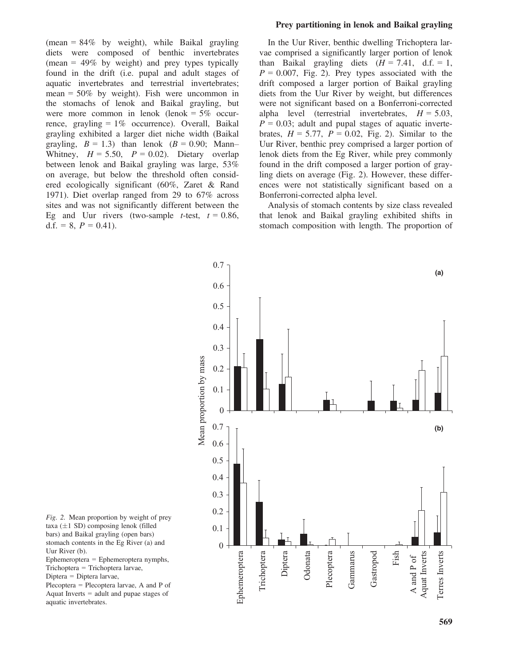(mean =  $84\%$  by weight), while Baikal grayling diets were composed of benthic invertebrates (mean =  $49\%$  by weight) and prey types typically found in the drift (i.e. pupal and adult stages of aquatic invertebrates and terrestrial invertebrates; mean =  $50\%$  by weight). Fish were uncommon in the stomachs of lenok and Baikal grayling, but were more common in lenok (lenok  $= 5\%$  occurrence, grayling  $= 1\%$  occurrence). Overall, Baikal grayling exhibited a larger diet niche width (Baikal grayling,  $B = 1.3$ ) than lenok ( $B = 0.90$ ; Mann– Whitney,  $H = 5.50$ ,  $P = 0.02$ ). Dietary overlap between lenok and Baikal grayling was large, 53% on average, but below the threshold often considered ecologically significant (60%, Zaret & Rand 1971). Diet overlap ranged from 29 to 67% across sites and was not significantly different between the Eg and Uur rivers (two-sample *t*-test,  $t = 0.86$ , d.f. = 8,  $P = 0.41$ ).

## Prey partitioning in lenok and Baikal grayling

In the Uur River, benthic dwelling Trichoptera larvae comprised a significantly larger portion of lenok than Baikal grayling diets  $(H = 7.41, d.f. = 1,$  $P = 0.007$ , Fig. 2). Prey types associated with the drift composed a larger portion of Baikal grayling diets from the Uur River by weight, but differences were not significant based on a Bonferroni-corrected alpha level (terrestrial invertebrates,  $H = 5.03$ ,  $P = 0.03$ ; adult and pupal stages of aquatic invertebrates,  $H = 5.77$ ,  $P = 0.02$ , Fig. 2). Similar to the Uur River, benthic prey comprised a larger portion of lenok diets from the Eg River, while prey commonly found in the drift composed a larger portion of grayling diets on average (Fig. 2). However, these differences were not statistically significant based on a Bonferroni-corrected alpha level.

Analysis of stomach contents by size class revealed that lenok and Baikal grayling exhibited shifts in stomach composition with length. The proportion of



Fig. 2. Mean proportion by weight of prey taxa  $(\pm 1 \text{ SD})$  composing lenok (filled bars) and Baikal grayling (open bars) stomach contents in the Eg River (a) and Uur River (b).

Ephemeroptera = Ephemeroptera nymphs, Trichoptera = Trichoptera larvae,

Diptera = Diptera larvae,

Plecoptera = Plecoptera larvae, A and P of Aquat Inverts = adult and pupae stages of aquatic invertebrates.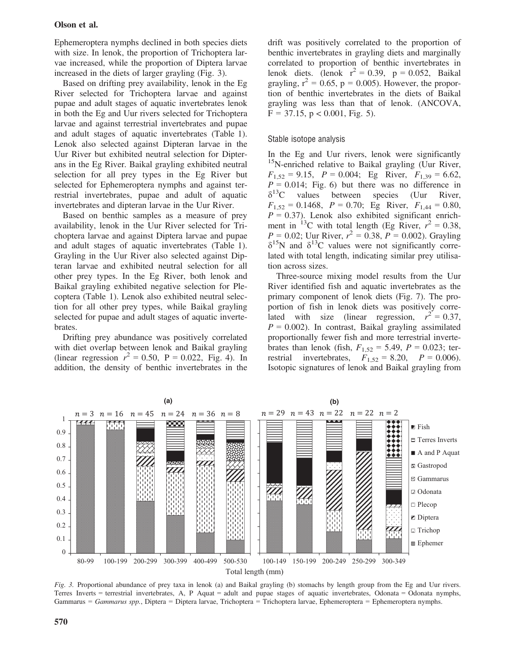# Olson et al.

Ephemeroptera nymphs declined in both species diets with size. In lenok, the proportion of Trichoptera larvae increased, while the proportion of Diptera larvae increased in the diets of larger grayling (Fig. 3).

Based on drifting prey availability, lenok in the Eg River selected for Trichoptera larvae and against pupae and adult stages of aquatic invertebrates lenok in both the Eg and Uur rivers selected for Trichoptera larvae and against terrestrial invertebrates and pupae and adult stages of aquatic invertebrates (Table 1). Lenok also selected against Dipteran larvae in the Uur River but exhibited neutral selection for Dipterans in the Eg River. Baikal grayling exhibited neutral selection for all prey types in the Eg River but selected for Ephemeroptera nymphs and against terrestrial invertebrates, pupae and adult of aquatic invertebrates and dipteran larvae in the Uur River.

Based on benthic samples as a measure of prey availability, lenok in the Uur River selected for Trichoptera larvae and against Diptera larvae and pupae and adult stages of aquatic invertebrates (Table 1). Grayling in the Uur River also selected against Dipteran larvae and exhibited neutral selection for all other prey types. In the Eg River, both lenok and Baikal grayling exhibited negative selection for Plecoptera (Table 1). Lenok also exhibited neutral selection for all other prey types, while Baikal grayling selected for pupae and adult stages of aquatic invertebrates.

Drifting prey abundance was positively correlated with diet overlap between lenok and Baikal grayling (linear regression  $r^2 = 0.50$ , P = 0.022, Fig. 4). In addition, the density of benthic invertebrates in the drift was positively correlated to the proportion of benthic invertebrates in grayling diets and marginally correlated to proportion of benthic invertebrates in lenok diets. (lenok  $r^2 = 0.39$ ,  $p = 0.052$ , Baikal grayling,  $r^2 = 0.65$ ,  $p = 0.005$ ). However, the proportion of benthic invertebrates in the diets of Baikal grayling was less than that of lenok. (ANCOVA,  $F = 37.15$ ,  $p < 0.001$ , Fig. 5).

#### Stable isotope analysis

In the Eg and Uur rivers, lenok were significantly <sup>15</sup>N-enriched relative to Baikal grayling (Uur River,  $F_{1,52} = 9.15$ ,  $P = 0.004$ ; Eg River,  $F_{1,39} = 6.62$ ,  $P = 0.014$ ; Fig. 6) but there was no difference in  $\delta^{13}$ C values between species (Uur River,  $F_{1,52} = 0.1468$ ,  $P = 0.70$ ; Eg River,  $F_{1,44} = 0.80$ ,  $P = 0.37$ ). Lenok also exhibited significant enrichment in <sup>13</sup>C with total length (Eg River,  $r^2 = 0.38$ ,  $P = 0.02$ ; Uur River,  $r^2 = 0.38$ ,  $P = 0.002$ ). Grayling  $\delta^{15}$ N and  $\delta^{13}$ C values were not significantly correlated with total length, indicating similar prey utilisation across sizes.

Three-source mixing model results from the Uur River identified fish and aquatic invertebrates as the primary component of lenok diets (Fig. 7). The proportion of fish in lenok diets was positively correlated with size (linear regression,  $r^2 = 0.37$ ,  $P = 0.002$ ). In contrast, Baikal grayling assimilated proportionally fewer fish and more terrestrial invertebrates than lenok (fish,  $F_{1,52} = 5.49$ ,  $P = 0.023$ ; terrestrial invertebrates,  $F_{1,52} = 8.20$ ,  $P = 0.006$ . Isotopic signatures of lenok and Baikal grayling from



Fig. 3. Proportional abundance of prey taxa in lenok (a) and Baikal grayling (b) stomachs by length group from the Eg and Uur rivers. Terres Inverts = terrestrial invertebrates, A, P Aquat = adult and pupae stages of aquatic invertebrates, Odonata = Odonata nymphs, Gammarus = Gammarus spp., Diptera = Diptera larvae, Trichoptera = Trichoptera larvae, Ephemeroptera = Ephemeroptera nymphs.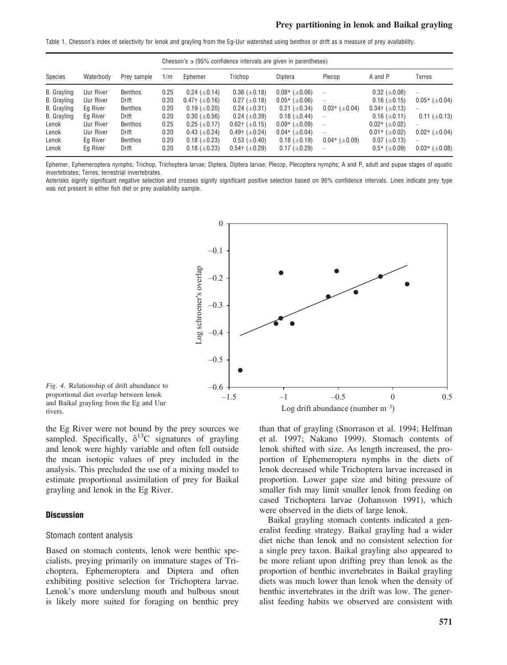Table 1. Chesson's index of selectivity for lenok and grayling from the Eg-Uur watershed using benthos or drift as a measure of prey availability.

|             |           |             | Chesson's $\alpha$ (95% confidence intervals are given in parentheses) |                        |                        |                        |                                 |                        |                          |
|-------------|-----------|-------------|------------------------------------------------------------------------|------------------------|------------------------|------------------------|---------------------------------|------------------------|--------------------------|
| Species     | Waterbody | Prey sample | 1/m                                                                    | Ephemer                | Trichop                | Diptera                | Plecop                          | A and P                | Terres                   |
| B. Grayling | Uur River | Benthos     | 0.25                                                                   | $0.24~(\pm 0.14)$      | $0.36~(\pm 0.18)$      | $0.08*$ ( $\pm 0.06$ ) | $\hspace{0.1mm}-\hspace{0.1mm}$ | $0.32~(\pm 0.08)$      | -                        |
| B. Grayling | Uur River | Drift       | 0.20                                                                   | $0.47$ † ( $\pm$ 0.16) | $0.27 (\pm 0.18)$      | $0.05*$ ( $\pm 0.06$ ) | $\overline{\phantom{0}}$        | $0.16 \ (\pm 0.15)$    | $0.05*$ ( $\pm 0.04$ )   |
| B. Grayling | Ea River  | Benthos     | 0.20                                                                   | $0.19~(\pm 0.20)$      | $0.24~(\pm 0.31)$      | $0.21~(\pm 0.34)$      | $0.03*$ ( $\pm 0.04$ )          | $0.34$ † ( $\pm$ 0.13) | $\overline{\phantom{m}}$ |
| B. Grayling | Eg River  | Drift       | 0.20                                                                   | $0.30~(\pm 0.56)$      | $0.24~(\pm 0.39)$      | $0.18~(\pm 0.44)$      |                                 | $0.16 \ (\pm 0.11)$    | $0.11 \ (\pm 0.13)$      |
| Lenok       | Uur River | Benthos     | 0.25                                                                   | $0.25 \ (\pm 0.17)$    | $0.62$ † ( $\pm$ 0.15) | $0.09*$ ( $\pm 0.09$ ) | $\overline{\phantom{0}}$        | $0.02*$ ( $\pm 0.02$ ) | $\overline{\phantom{m}}$ |
| Lenok       | Uur River | Drift       | 0.20                                                                   | $0.43~(\pm 0.24)$      | $0.49$ † ( $\pm$ 0.24) | $0.04*$ ( $\pm 0.04$ ) | $\overline{\phantom{0}}$        | $0.01*$ ( $\pm 0.02$ ) | $0.02*$ ( $\pm 0.04$ )   |
| Lenok       | Eg River  | Benthos     | 0.20                                                                   | $0.18~(\pm 0.23)$      | $0.53~(\pm 0.40)$      | $0.18~(\pm 0.19)$      | $0.04*$ ( $\pm 0.09$ )          | $0.07~(\pm 0.13)$      | $\overline{\phantom{0}}$ |
| Lenok       | Eg River  | Drift       | 0.20                                                                   | $0.18~(\pm 0.23)$      | $0.54$ † ( $\pm$ 0.29) | $0.17~(\pm 0.29)$      |                                 | $0.5*$ ( $\pm 0.09$ )  | $0.03*$ ( $\pm 0.08$ )   |

Ephemer, Ephemeroptera nymphs; Trichop, Trichoptera larvae; Diptera, Diptera larvae; Plecop, Plecoptera nymphs; A and P, adult and pupae stages of aquatic invertebrates: Terres, terrestrial invertebrates.

Asterisks signify significant negative selection and crosses signify significant positive selection based on 95% confidence intervals. Lines indicate prey type was not present in either fish diet or prey availability sample.



Fig. 4. Relationship of drift abundance to proportional diet overlap between lenok and Baikal grayling from the Eg and Uur rivers.

the Eg River were not bound by the prey sources we sampled. Specifically,  $\delta^{13}$ C signatures of grayling and lenok were highly variable and often fell outside the mean isotopic values of prey included in the analysis. This precluded the use of a mixing model to estimate proportional assimilation of prey for Baikal grayling and lenok in the Eg River.

# **Discussion**

## Stomach content analysis

Based on stomach contents, lenok were benthic specialists, preying primarily on immature stages of Trichoptera, Ephemeroptera and Diptera and often exhibiting positive selection for Trichoptera larvae. Lenok's more underslung mouth and bulbous snout is likely more suited for foraging on benthic prey

than that of grayling (Snorrason et al. 1994; Helfman et al. 1997; Nakano 1999). Stomach contents of lenok shifted with size. As length increased, the proportion of Ephemeroptera nymphs in the diets of lenok decreased while Trichoptera larvae increased in proportion. Lower gape size and biting pressure of smaller fish may limit smaller lenok from feeding on cased Trichoptera larvae (Johansson 1991), which were observed in the diets of large lenok.

Baikal grayling stomach contents indicated a generalist feeding strategy. Baikal grayling had a wider diet niche than lenok and no consistent selection for a single prey taxon. Baikal grayling also appeared to be more reliant upon drifting prey than lenok as the proportion of benthic invertebrates in Baikal grayling diets was much lower than lenok when the density of benthic invertebrates in the drift was low. The generalist feeding habits we observed are consistent with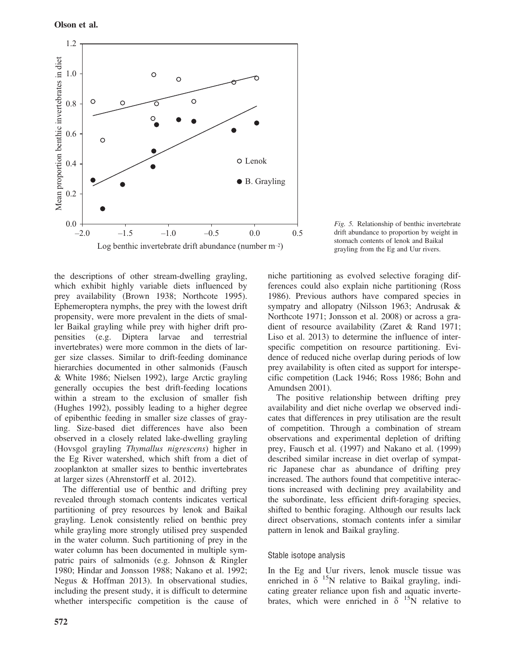

Fig. 5. Relationship of benthic invertebrate drift abundance to proportion by weight in stomach contents of lenok and Baikal grayling from the Eg and Uur rivers.

the descriptions of other stream-dwelling grayling, which exhibit highly variable diets influenced by prey availability (Brown 1938; Northcote 1995). Ephemeroptera nymphs, the prey with the lowest drift propensity, were more prevalent in the diets of smaller Baikal grayling while prey with higher drift propensities (e.g. Diptera larvae and terrestrial invertebrates) were more common in the diets of larger size classes. Similar to drift-feeding dominance hierarchies documented in other salmonids (Fausch & White 1986; Nielsen 1992), large Arctic grayling generally occupies the best drift-feeding locations within a stream to the exclusion of smaller fish (Hughes 1992), possibly leading to a higher degree of epibenthic feeding in smaller size classes of grayling. Size-based diet differences have also been observed in a closely related lake-dwelling grayling (Hovsgol grayling Thymallus nigrescens) higher in the Eg River watershed, which shift from a diet of zooplankton at smaller sizes to benthic invertebrates at larger sizes (Ahrenstorff et al. 2012).

The differential use of benthic and drifting prey revealed through stomach contents indicates vertical partitioning of prey resources by lenok and Baikal grayling. Lenok consistently relied on benthic prey while grayling more strongly utilised prey suspended in the water column. Such partitioning of prey in the water column has been documented in multiple sympatric pairs of salmonids (e.g. Johnson & Ringler 1980; Hindar and Jonsson 1988; Nakano et al. 1992; Negus & Hoffman 2013). In observational studies, including the present study, it is difficult to determine whether interspecific competition is the cause of niche partitioning as evolved selective foraging differences could also explain niche partitioning (Ross 1986). Previous authors have compared species in sympatry and allopatry (Nilsson 1963; Andrusak & Northcote 1971; Jonsson et al. 2008) or across a gradient of resource availability (Zaret & Rand 1971; Liso et al. 2013) to determine the influence of interspecific competition on resource partitioning. Evidence of reduced niche overlap during periods of low prey availability is often cited as support for interspecific competition (Lack 1946; Ross 1986; Bohn and Amundsen 2001).

The positive relationship between drifting prey availability and diet niche overlap we observed indicates that differences in prey utilisation are the result of competition. Through a combination of stream observations and experimental depletion of drifting prey, Fausch et al. (1997) and Nakano et al. (1999) described similar increase in diet overlap of sympatric Japanese char as abundance of drifting prey increased. The authors found that competitive interactions increased with declining prey availability and the subordinate, less efficient drift-foraging species, shifted to benthic foraging. Although our results lack direct observations, stomach contents infer a similar pattern in lenok and Baikal grayling.

# Stable isotope analysis

In the Eg and Uur rivers, lenok muscle tissue was enriched in  $\delta$  <sup>15</sup>N relative to Baikal grayling, indicating greater reliance upon fish and aquatic invertebrates, which were enriched in  $\delta$  <sup>15</sup>N relative to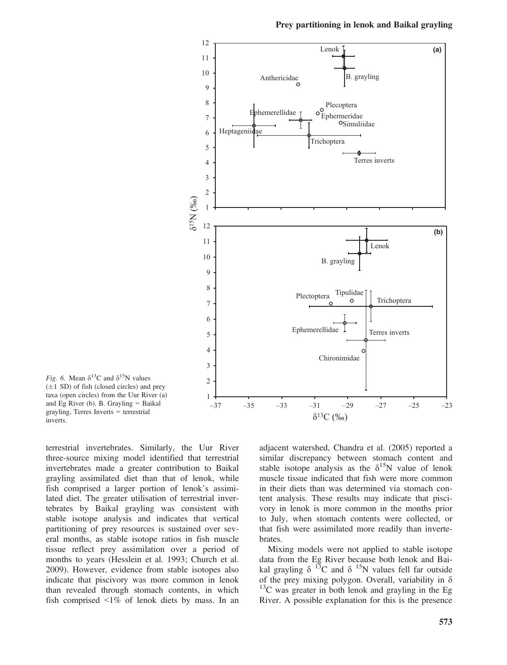

Prey partitioning in lenok and Baikal grayling

Fig. 6. Mean  $\delta^{13}$ C and  $\delta^{15}$ N values  $(\pm 1$  SD) of fish (closed circles) and prey taxa (open circles) from the Uur River (a) and Eg River (b). B. Grayling  $=$  Baikal grayling, Terres Inverts = terrestrial inverts.

terrestrial invertebrates. Similarly, the Uur River three-source mixing model identified that terrestrial invertebrates made a greater contribution to Baikal grayling assimilated diet than that of lenok, while fish comprised a larger portion of lenok's assimilated diet. The greater utilisation of terrestrial invertebrates by Baikal grayling was consistent with stable isotope analysis and indicates that vertical partitioning of prey resources is sustained over several months, as stable isotope ratios in fish muscle tissue reflect prey assimilation over a period of months to years (Hesslein et al. 1993; Church et al. 2009). However, evidence from stable isotopes also indicate that piscivory was more common in lenok than revealed through stomach contents, in which fish comprised  $\leq 1\%$  of lenok diets by mass. In an adjacent watershed, Chandra et al. (2005) reported a similar discrepancy between stomach content and stable isotope analysis as the  $\delta^{15}N$  value of lenok muscle tissue indicated that fish were more common in their diets than was determined via stomach content analysis. These results may indicate that piscivory in lenok is more common in the months prior to July, when stomach contents were collected, or that fish were assimilated more readily than invertebrates.

Mixing models were not applied to stable isotope data from the Eg River because both lenok and Baikal grayling  $\delta^{13}C$  and  $\delta^{15}N$  values fell far outside of the prey mixing polygon. Overall, variability in  $\delta$  $13<sup>13</sup>C$  was greater in both lenok and grayling in the Eg River. A possible explanation for this is the presence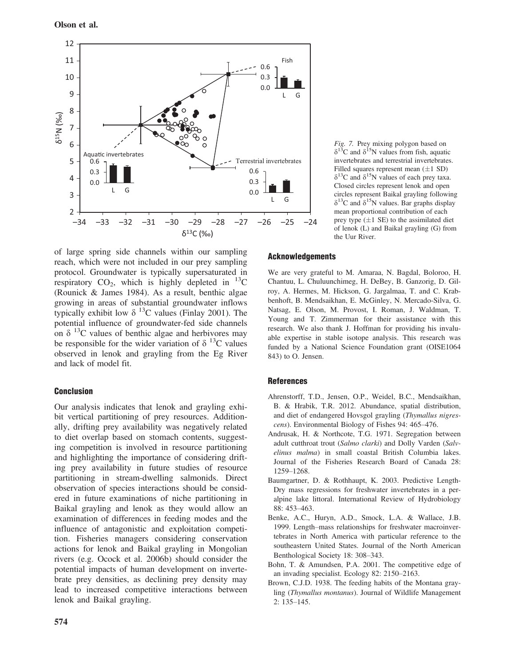

of large spring side channels within our sampling reach, which were not included in our prey sampling protocol. Groundwater is typically supersaturated in respiratory  $CO<sub>2</sub>$ , which is highly depleted in  $^{13}$ C (Rounick & James 1984). As a result, benthic algae growing in areas of substantial groundwater inflows typically exhibit low  $\delta^{13}$ C values (Finlay 2001). The potential influence of groundwater-fed side channels on  $\delta$  <sup>13</sup>C values of benthic algae and herbivores may be responsible for the wider variation of  $\delta^{13}$ C values observed in lenok and grayling from the Eg River and lack of model fit.

# Conclusion

Our analysis indicates that lenok and grayling exhibit vertical partitioning of prey resources. Additionally, drifting prey availability was negatively related to diet overlap based on stomach contents, suggesting competition is involved in resource partitioning and highlighting the importance of considering drifting prey availability in future studies of resource partitioning in stream-dwelling salmonids. Direct observation of species interactions should be considered in future examinations of niche partitioning in Baikal grayling and lenok as they would allow an examination of differences in feeding modes and the influence of antagonistic and exploitation competition. Fisheries managers considering conservation actions for lenok and Baikal grayling in Mongolian rivers (e.g. Ocock et al. 2006b) should consider the potential impacts of human development on invertebrate prey densities, as declining prey density may lead to increased competitive interactions between lenok and Baikal grayling.

Fig. 7. Prey mixing polygon based on  $\delta^{13}$ C and  $\delta^{15}$ N values from fish, aquatic invertebrates and terrestrial invertebrates. Filled squares represent mean  $(+1 S$ D)  $\delta^{13}$ C and  $\delta^{15}$ N values of each prey taxa. Closed circles represent lenok and open circles represent Baikal grayling following  $\delta^{13}$ C and  $\delta^{15}$ N values. Bar graphs display mean proportional contribution of each prey type  $(\pm 1 \text{ SE})$  to the assimilated diet of lenok (L) and Baikal grayling (G) from the Uur River.

# **Acknowledgements**

We are very grateful to M. Amaraa, N. Bagdal, Boloroo, H. Chantuu, L. Chuluunchimeg, H. DeBey, B. Ganzorig, D. Gilroy, A. Hermes, M. Hickson, G. Jargalmaa, T. and C. Krabbenhoft, B. Mendsaikhan, E. McGinley, N. Mercado-Silva, G. Natsag, E. Olson, M. Provost, I. Roman, J. Waldman, T. Young and T. Zimmerman for their assistance with this research. We also thank J. Hoffman for providing his invaluable expertise in stable isotope analysis. This research was funded by a National Science Foundation grant (OISE1064 843) to O. Jensen.

#### References

- Ahrenstorff, T.D., Jensen, O.P., Weidel, B.C., Mendsaikhan, B. & Hrabik, T.R. 2012. Abundance, spatial distribution, and diet of endangered Hovsgol grayling (Thymallus nigrescens). Environmental Biology of Fishes 94: 465–476.
- Andrusak, H. & Northcote, T.G. 1971. Segregation between adult cutthroat trout (Salmo clarki) and Dolly Varden (Salvelinus malma) in small coastal British Columbia lakes. Journal of the Fisheries Research Board of Canada 28: 1259–1268.
- Baumgartner, D. & Rothhaupt, K. 2003. Predictive Length-Dry mass regressions for freshwater invertebrates in a peralpine lake littoral. International Review of Hydrobiology 88: 453–463.
- Benke, A.C., Huryn, A.D., Smock, L.A. & Wallace, J.B. 1999. Length–mass relationships for freshwater macroinvertebrates in North America with particular reference to the southeastern United States. Journal of the North American Benthological Society 18: 308–343.
- Bohn, T. & Amundsen, P.A. 2001. The competitive edge of an invading specialist. Ecology 82: 2150–2163.
- Brown, C.J.D. 1938. The feeding habits of the Montana grayling (Thymallus montanus). Journal of Wildlife Management 2: 135–145.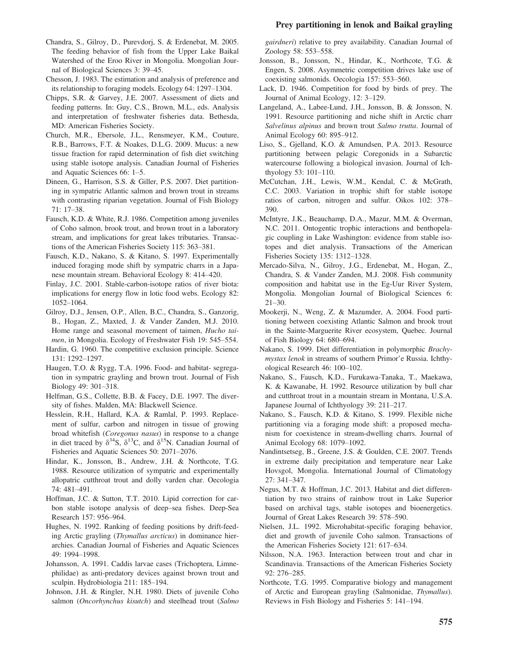# Prey partitioning in lenok and Baikal grayling

- Chandra, S., Gilroy, D., Purevdorj, S. & Erdenebat, M. 2005. The feeding behavior of fish from the Upper Lake Baikal Watershed of the Eroo River in Mongolia. Mongolian Journal of Biological Sciences 3: 39–45.
- Chesson, J. 1983. The estimation and analysis of preference and its relationship to foraging models. Ecology 64: 1297–1304.
- Chipps, S.R. & Garvey, J.E. 2007. Assessment of diets and feeding patterns. In: Guy, C.S., Brown, M.L., eds. Analysis and interpretation of freshwater fisheries data. Bethesda, MD: American Fisheries Society.
- Church, M.R., Ebersole, J.L., Rensmeyer, K.M., Couture, R.B., Barrows, F.T. & Noakes, D.L.G. 2009. Mucus: a new tissue fraction for rapid determination of fish diet switching using stable isotope analysis. Canadian Journal of Fisheries and Aquatic Sciences 66: 1–5.
- Dineen, G., Harrison, S.S. & Giller, P.S. 2007. Diet partitioning in sympatric Atlantic salmon and brown trout in streams with contrasting riparian vegetation. Journal of Fish Biology 71: 17–38.
- Fausch, K.D. & White, R.J. 1986. Competition among juveniles of Coho salmon, brook trout, and brown trout in a laboratory stream, and implications for great lakes tributaries. Transactions of the American Fisheries Society 115: 363–381.
- Fausch, K.D., Nakano, S. & Kitano, S. 1997. Experimentally induced foraging mode shift by sympatric charrs in a Japanese mountain stream. Behavioral Ecology 8: 414–420.
- Finlay, J.C. 2001. Stable-carbon-isotope ratios of river biota: implications for energy flow in lotic food webs. Ecology 82: 1052–1064.
- Gilroy, D.J., Jensen, O.P., Allen, B.C., Chandra, S., Ganzorig, B., Hogan, Z., Maxted, J. & Vander Zanden, M.J. 2010. Home range and seasonal movement of taimen, Hucho taimen, in Mongolia. Ecology of Freshwater Fish 19: 545–554.
- Hardin, G. 1960. The competitive exclusion principle. Science 131: 1292–1297.
- Haugen, T.O. & Rygg, T.A. 1996. Food- and habitat- segregation in sympatric grayling and brown trout. Journal of Fish Biology 49: 301–318.
- Helfman, G.S., Collette, B.B. & Facey, D.E. 1997. The diversity of fishes. Malden, MA: Blackwell Science.
- Hesslein, R.H., Hallard, K.A. & Ramlal, P. 1993. Replacement of sulfur, carbon and nitrogen in tissue of growing broad whitefish (Coregonus nasus) in response to a change in diet traced by  $\delta^{34}S$ ,  $\delta^{13}C$ , and  $\delta^{15}N$ . Canadian Journal of Fisheries and Aquatic Sciences 50: 2071–2076.
- Hindar, K., Jonsson, B., Andrew, J.H. & Northcote, T.G. 1988. Resource utilization of sympatric and experimentally allopatric cutthroat trout and dolly varden char. Oecologia 74: 481–491.
- Hoffman, J.C. & Sutton, T.T. 2010. Lipid correction for carbon stable isotope analysis of deep–sea fishes. Deep-Sea Research 157: 956–964.
- Hughes, N. 1992. Ranking of feeding positions by drift-feeding Arctic grayling (Thymallus arcticus) in dominance hierarchies. Canadian Journal of Fisheries and Aquatic Sciences 49: 1994–1998.
- Johansson, A. 1991. Caddis larvae cases (Trichoptera, Limnephilidae) as anti-predatory devices against brown trout and sculpin. Hydrobiologia 211: 185–194.
- Johnson, J.H. & Ringler, N.H. 1980. Diets of juvenile Coho salmon (Oncorhynchus kisutch) and steelhead trout (Salmo

gairdneri) relative to prey availability. Canadian Journal of Zoology 58: 553–558.

- Jonsson, B., Jonsson, N., Hindar, K., Northcote, T.G. & Engen, S. 2008. Asymmetric competition drives lake use of coexisting salmonids. Oecologia 157: 553–560.
- Lack, D. 1946. Competition for food by birds of prey. The Journal of Animal Ecology, 12: 3–129.
- Langeland, A., Labee-Lund, J.H., Jonsson, B. & Jonsson, N. 1991. Resource partitioning and niche shift in Arctic charr Salvelinus alpinus and brown trout Salmo trutta. Journal of Animal Ecology 60: 895–912.
- Liso, S., Gjelland, K.O. & Amundsen, P.A. 2013. Resource partitioning between pelagic Coregonids in a Subarctic watercourse following a biological invasion. Journal of Ichthyology 53: 101–110.
- McCutchan, J.H., Lewis, W.M., Kendal, C. & McGrath, C.C. 2003. Variation in trophic shift for stable isotope ratios of carbon, nitrogen and sulfur. Oikos 102: 378– 390.
- McIntyre, J.K., Beauchamp, D.A., Mazur, M.M. & Overman, N.C. 2011. Ontogentic trophic interactions and benthopelagic coupling in Lake Washington: evidence from stable isotopes and diet analysis. Transactions of the American Fisheries Society 135: 1312–1328.
- Mercado-Silva, N., Gilroy, J.G., Erdenebat, M., Hogan, Z., Chandra, S. & Vander Zanden, M.J. 2008. Fish community composition and habitat use in the Eg-Uur River System, Mongolia. Mongolian Journal of Biological Sciences 6: 21–30.
- Mookerji, N., Weng, Z. & Mazumder, A. 2004. Food partitioning between coexisting Atlantic Salmon and brook trout in the Sainte-Marguerite River ecosystem, Quebec. Journal of Fish Biology 64: 680–694.
- Nakano, S. 1999. Diet differentiation in polymorphic Brachymystax lenok in streams of southern Primor'e Russia. Ichthyological Research 46: 100–102.
- Nakano, S., Fausch, K.D., Furukawa-Tanaka, T., Maekawa, K. & Kawanabe, H. 1992. Resource utilization by bull char and cutthroat trout in a mountain stream in Montana, U.S.A. Japanese Journal of Ichthyology 39: 211–217.
- Nakano, S., Fausch, K.D. & Kitano, S. 1999. Flexible niche partitioning via a foraging mode shift: a proposed mechanism for coexistence in stream-dwelling charrs. Journal of Animal Ecology 68: 1079–1092.
- Nandintsetseg, B., Greene, J.S. & Goulden, C.E. 2007. Trends in extreme daily precipitation and temperature near Lake Hovsgol, Mongolia. International Journal of Climatology 27: 341–347.
- Negus, M.T. & Hoffman, J.C. 2013. Habitat and diet differentiation by two strains of rainbow trout in Lake Superior based on archival tags, stable isotopes and bioenergetics. Journal of Great Lakes Research 39: 578–590.
- Nielsen, J.L. 1992. Microhabitat-specific foraging behavior, diet and growth of juvenile Coho salmon. Transactions of the American Fisheries Society 121: 617–634.
- Nilsson, N.A. 1963. Interaction between trout and char in Scandinavia. Transactions of the American Fisheries Society 92: 276–285.
- Northcote, T.G. 1995. Comparative biology and management of Arctic and European grayling (Salmonidae, Thymallus). Reviews in Fish Biology and Fisheries 5: 141–194.